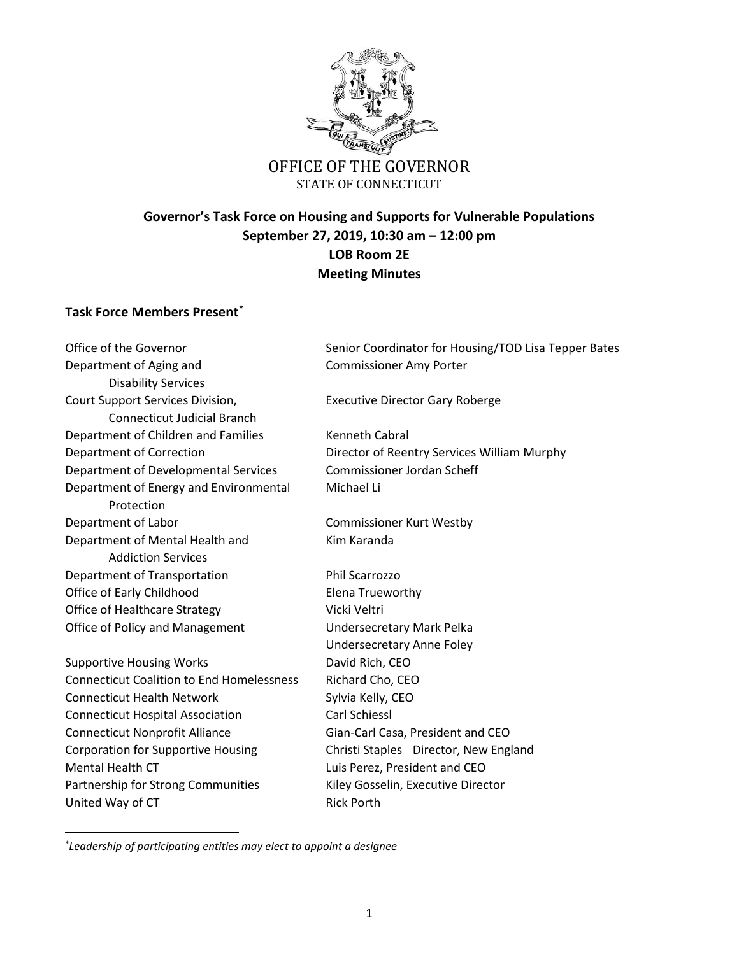

# **Governor's Task Force on Housing and Supports for Vulnerable Populations September 27, 2019, 10:30 am – 12:00 pm LOB Room 2E Meeting Minutes**

### **Task Force Members Present\***

Department of Aging and Commissioner Amy Porter Disability Services Court Support Services Division, Executive Director Gary Roberge Connecticut Judicial Branch Department of Children and Families Kenneth Cabral Department of Developmental Services Commissioner Jordan Scheff Department of Energy and Environmental Michael Li Protection Department of Labor Commissioner Kurt Westby Department of Mental Health and Kim Karanda Addiction Services Department of Transportation Phil Scarrozzo Office of Early Childhood Elena Trueworthy Office of Healthcare Strategy Vicki Veltri Office of Policy and Management Undersecretary Mark Pelka Supportive Housing Works **David Rich, CEO** Connecticut Coalition to End Homelessness Richard Cho, CEO Connecticut Health Network Sylvia Kelly, CEO Connecticut Hospital Association Carl Schiessl Connecticut Nonprofit Alliance Gian-Carl Casa, President and CEO Corporation for Supportive Housing Christi Staples Director, New England Mental Health CT Luis Perez, President and CEO Partnership for Strong Communities Kiley Gosselin, Executive Director United Way of CT Rick Porth

 $\overline{\phantom{a}}$ 

Office of the Governor Senior Coordinator for Housing/TOD Lisa Tepper Bates

Department of Correction Director of Reentry Services William Murphy

Undersecretary Anne Foley

\* *Leadership of participating entities may elect to appoint a designee*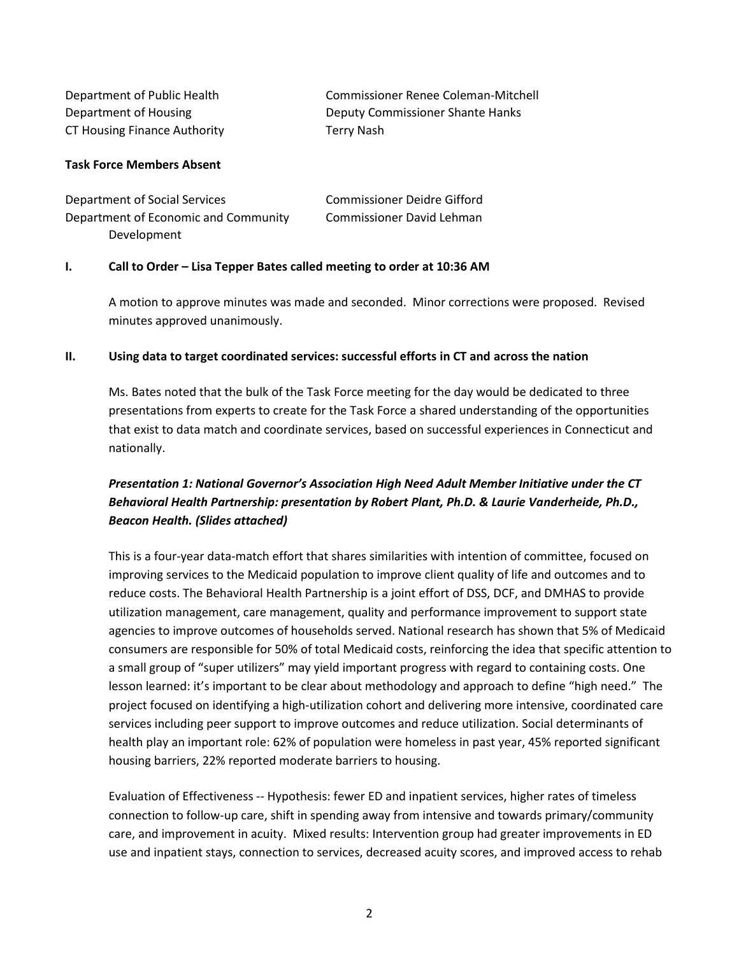| Department of Public Health  | Commissioner Renee Coleman-Mitchell |
|------------------------------|-------------------------------------|
| Department of Housing        | Deputy Commissioner Shante Hanks    |
| CT Housing Finance Authority | Terry Nash                          |

#### **Task Force Members Absent**

| Department of Social Services        | <b>Commissioner Deidre Gifford</b> |
|--------------------------------------|------------------------------------|
| Department of Economic and Community | Commissioner David Lehman          |
| Development                          |                                    |

#### **I. Call to Order – Lisa Tepper Bates called meeting to order at 10:36 AM**

A motion to approve minutes was made and seconded. Minor corrections were proposed. Revised minutes approved unanimously.

#### **II. Using data to target coordinated services: successful efforts in CT and across the nation**

Ms. Bates noted that the bulk of the Task Force meeting for the day would be dedicated to three presentations from experts to create for the Task Force a shared understanding of the opportunities that exist to data match and coordinate services, based on successful experiences in Connecticut and nationally.

### *Presentation 1: National Governor's Association High Need Adult Member Initiative under the CT Behavioral Health Partnership: presentation by Robert Plant, Ph.D. & Laurie Vanderheide, Ph.D., Beacon Health. (Slides attached)*

This is a four-year data-match effort that shares similarities with intention of committee, focused on improving services to the Medicaid population to improve client quality of life and outcomes and to reduce costs. The Behavioral Health Partnership is a joint effort of DSS, DCF, and DMHAS to provide utilization management, care management, quality and performance improvement to support state agencies to improve outcomes of households served. National research has shown that 5% of Medicaid consumers are responsible for 50% of total Medicaid costs, reinforcing the idea that specific attention to a small group of "super utilizers" may yield important progress with regard to containing costs. One lesson learned: it's important to be clear about methodology and approach to define "high need." The project focused on identifying a high-utilization cohort and delivering more intensive, coordinated care services including peer support to improve outcomes and reduce utilization. Social determinants of health play an important role: 62% of population were homeless in past year, 45% reported significant housing barriers, 22% reported moderate barriers to housing.

Evaluation of Effectiveness -- Hypothesis: fewer ED and inpatient services, higher rates of timeless connection to follow-up care, shift in spending away from intensive and towards primary/community care, and improvement in acuity. Mixed results: Intervention group had greater improvements in ED use and inpatient stays, connection to services, decreased acuity scores, and improved access to rehab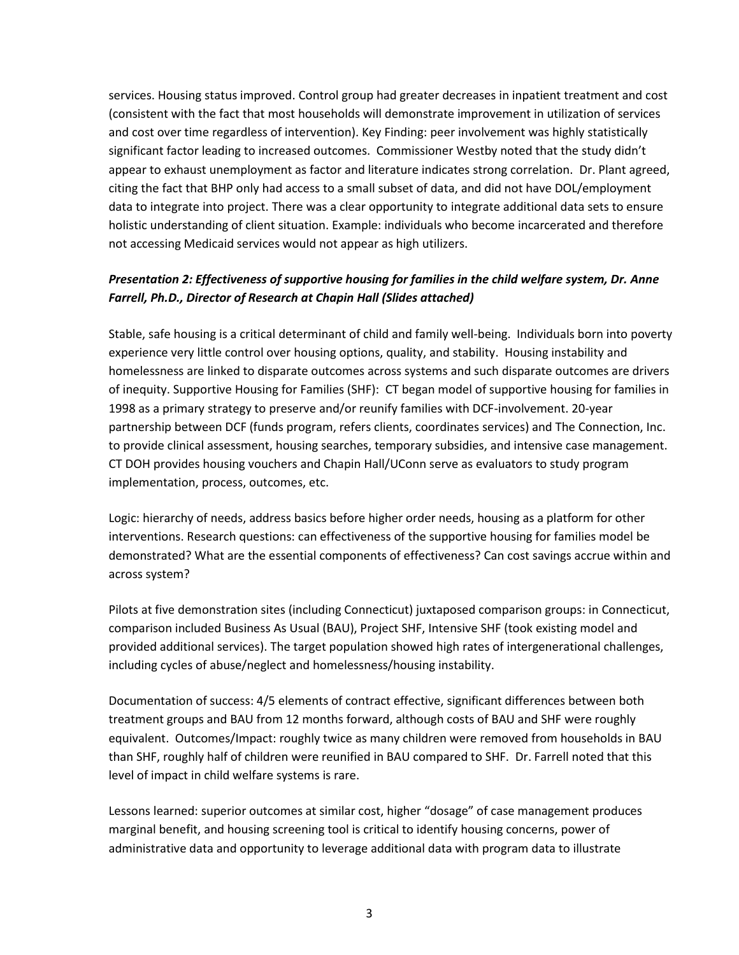services. Housing status improved. Control group had greater decreases in inpatient treatment and cost (consistent with the fact that most households will demonstrate improvement in utilization of services and cost over time regardless of intervention). Key Finding: peer involvement was highly statistically significant factor leading to increased outcomes. Commissioner Westby noted that the study didn't appear to exhaust unemployment as factor and literature indicates strong correlation. Dr. Plant agreed, citing the fact that BHP only had access to a small subset of data, and did not have DOL/employment data to integrate into project. There was a clear opportunity to integrate additional data sets to ensure holistic understanding of client situation. Example: individuals who become incarcerated and therefore not accessing Medicaid services would not appear as high utilizers.

### *Presentation 2: Effectiveness of supportive housing for families in the child welfare system, Dr. Anne Farrell, Ph.D., Director of Research at Chapin Hall (Slides attached)*

Stable, safe housing is a critical determinant of child and family well-being. Individuals born into poverty experience very little control over housing options, quality, and stability. Housing instability and homelessness are linked to disparate outcomes across systems and such disparate outcomes are drivers of inequity. Supportive Housing for Families (SHF): CT began model of supportive housing for families in 1998 as a primary strategy to preserve and/or reunify families with DCF-involvement. 20-year partnership between DCF (funds program, refers clients, coordinates services) and The Connection, Inc. to provide clinical assessment, housing searches, temporary subsidies, and intensive case management. CT DOH provides housing vouchers and Chapin Hall/UConn serve as evaluators to study program implementation, process, outcomes, etc.

Logic: hierarchy of needs, address basics before higher order needs, housing as a platform for other interventions. Research questions: can effectiveness of the supportive housing for families model be demonstrated? What are the essential components of effectiveness? Can cost savings accrue within and across system?

Pilots at five demonstration sites (including Connecticut) juxtaposed comparison groups: in Connecticut, comparison included Business As Usual (BAU), Project SHF, Intensive SHF (took existing model and provided additional services). The target population showed high rates of intergenerational challenges, including cycles of abuse/neglect and homelessness/housing instability.

Documentation of success: 4/5 elements of contract effective, significant differences between both treatment groups and BAU from 12 months forward, although costs of BAU and SHF were roughly equivalent. Outcomes/Impact: roughly twice as many children were removed from households in BAU than SHF, roughly half of children were reunified in BAU compared to SHF. Dr. Farrell noted that this level of impact in child welfare systems is rare.

Lessons learned: superior outcomes at similar cost, higher "dosage" of case management produces marginal benefit, and housing screening tool is critical to identify housing concerns, power of administrative data and opportunity to leverage additional data with program data to illustrate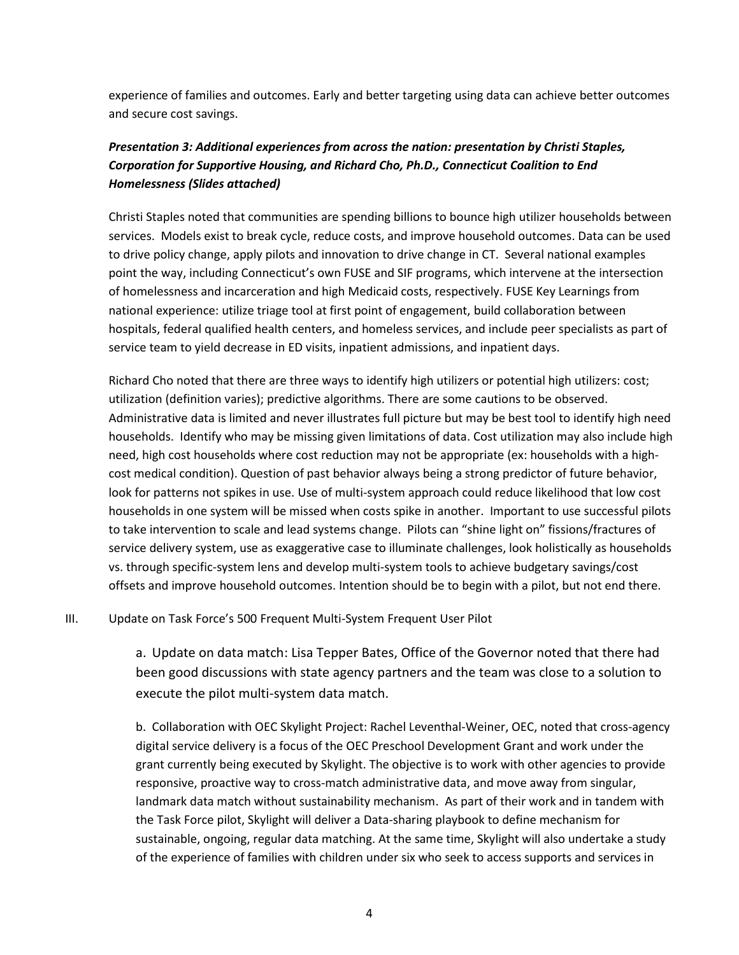experience of families and outcomes. Early and better targeting using data can achieve better outcomes and secure cost savings.

## *Presentation 3: Additional experiences from across the nation: presentation by Christi Staples, Corporation for Supportive Housing, and Richard Cho, Ph.D., Connecticut Coalition to End Homelessness (Slides attached)*

Christi Staples noted that communities are spending billions to bounce high utilizer households between services. Models exist to break cycle, reduce costs, and improve household outcomes. Data can be used to drive policy change, apply pilots and innovation to drive change in CT. Several national examples point the way, including Connecticut's own FUSE and SIF programs, which intervene at the intersection of homelessness and incarceration and high Medicaid costs, respectively. FUSE Key Learnings from national experience: utilize triage tool at first point of engagement, build collaboration between hospitals, federal qualified health centers, and homeless services, and include peer specialists as part of service team to yield decrease in ED visits, inpatient admissions, and inpatient days.

Richard Cho noted that there are three ways to identify high utilizers or potential high utilizers: cost; utilization (definition varies); predictive algorithms. There are some cautions to be observed. Administrative data is limited and never illustrates full picture but may be best tool to identify high need households. Identify who may be missing given limitations of data. Cost utilization may also include high need, high cost households where cost reduction may not be appropriate (ex: households with a highcost medical condition). Question of past behavior always being a strong predictor of future behavior, look for patterns not spikes in use. Use of multi-system approach could reduce likelihood that low cost households in one system will be missed when costs spike in another. Important to use successful pilots to take intervention to scale and lead systems change. Pilots can "shine light on" fissions/fractures of service delivery system, use as exaggerative case to illuminate challenges, look holistically as households vs. through specific-system lens and develop multi-system tools to achieve budgetary savings/cost offsets and improve household outcomes. Intention should be to begin with a pilot, but not end there.

III. Update on Task Force's 500 Frequent Multi-System Frequent User Pilot

a. Update on data match: Lisa Tepper Bates, Office of the Governor noted that there had been good discussions with state agency partners and the team was close to a solution to execute the pilot multi-system data match.

b. Collaboration with OEC Skylight Project: Rachel Leventhal-Weiner, OEC, noted that cross-agency digital service delivery is a focus of the OEC Preschool Development Grant and work under the grant currently being executed by Skylight. The objective is to work with other agencies to provide responsive, proactive way to cross-match administrative data, and move away from singular, landmark data match without sustainability mechanism. As part of their work and in tandem with the Task Force pilot, Skylight will deliver a Data-sharing playbook to define mechanism for sustainable, ongoing, regular data matching. At the same time, Skylight will also undertake a study of the experience of families with children under six who seek to access supports and services in